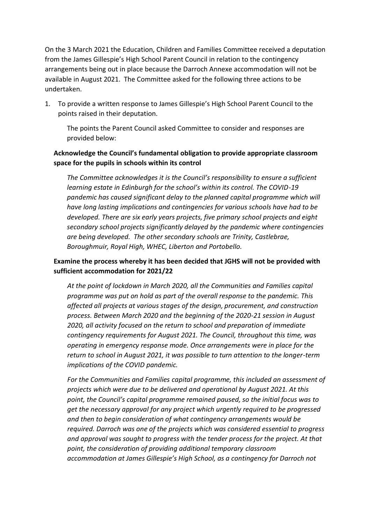On the 3 March 2021 the Education, Children and Families Committee received a deputation from the James Gillespie's High School Parent Council in relation to the contingency arrangements being out in place because the Darroch Annexe accommodation will not be available in August 2021. The Committee asked for the following three actions to be undertaken.

1. To provide a written response to James Gillespie's High School Parent Council to the points raised in their deputation.

The points the Parent Council asked Committee to consider and responses are provided below:

# **Acknowledge the Council's fundamental obligation to provide appropriate classroom space for the pupils in schools within its control**

*The Committee acknowledges it is the Council's responsibility to ensure a sufficient learning estate in Edinburgh for the school's within its control. The COVID-19 pandemic has caused significant delay to the planned capital programme which will have long lasting implications and contingencies for various schools have had to be developed. There are six early years projects, five primary school projects and eight secondary school projects significantly delayed by the pandemic where contingencies are being developed. The other secondary schools are Trinity, Castlebrae, Boroughmuir, Royal High, WHEC, Liberton and Portobello.*

# **Examine the process whereby it has been decided that JGHS will not be provided with sufficient accommodation for 2021/22**

*At the point of lockdown in March 2020, all the Communities and Families capital programme was put on hold as part of the overall response to the pandemic. This affected all projects at various stages of the design, procurement, and construction process. Between March 2020 and the beginning of the 2020-21 session in August 2020, all activity focused on the return to school and preparation of immediate contingency requirements for August 2021. The Council, throughout this time, was operating in emergency response mode. Once arrangements were in place for the return to school in August 2021, it was possible to turn attention to the longer-term implications of the COVID pandemic.* 

*For the Communities and Families capital programme, this included an assessment of projects which were due to be delivered and operational by August 2021. At this point, the Council's capital programme remained paused, so the initial focus was to get the necessary approval for any project which urgently required to be progressed and then to begin consideration of what contingency arrangements would be required. Darroch was one of the projects which was considered essential to progress and approval was sought to progress with the tender process for the project. At that point, the consideration of providing additional temporary classroom accommodation at James Gillespie's High School, as a contingency for Darroch not*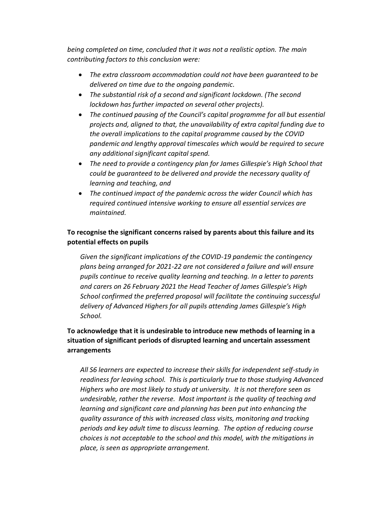*being completed on time, concluded that it was not a realistic option. The main contributing factors to this conclusion were:* 

- *The extra classroom accommodation could not have been guaranteed to be delivered on time due to the ongoing pandemic.*
- *The substantial risk of a second and significant lockdown. (The second lockdown has further impacted on several other projects).*
- *The continued pausing of the Council's capital programme for all but essential projects and, aligned to that, the unavailability of extra capital funding due to the overall implications to the capital programme caused by the COVID pandemic and lengthy approval timescales which would be required to secure any additional significant capital spend.*
- *The need to provide a contingency plan for James Gillespie's High School that could be guaranteed to be delivered and provide the necessary quality of learning and teaching, and*
- *The continued impact of the pandemic across the wider Council which has required continued intensive working to ensure all essential services are maintained.*

# **To recognise the significant concerns raised by parents about this failure and its potential effects on pupils**

*Given the significant implications of the COVID-19 pandemic the contingency plans being arranged for 2021-22 are not considered a failure and will ensure pupils continue to receive quality learning and teaching. In a letter to parents and carers on 26 February 2021 the Head Teacher of James Gillespie's High School confirmed the preferred proposal will facilitate the continuing successful delivery of Advanced Highers for all pupils attending James Gillespie's High School.*

## **To acknowledge that it is undesirable to introduce new methods of learning in a situation of significant periods of disrupted learning and uncertain assessment arrangements**

*All S6 learners are expected to increase their skills for independent self-study in readiness for leaving school. This is particularly true to those studying Advanced Highers who are most likely to study at university. It is not therefore seen as undesirable, rather the reverse. Most important is the quality of teaching and learning and significant care and planning has been put into enhancing the quality assurance of this with increased class visits, monitoring and tracking periods and key adult time to discuss learning. The option of reducing course choices is not acceptable to the school and this model, with the mitigations in place, is seen as appropriate arrangement.*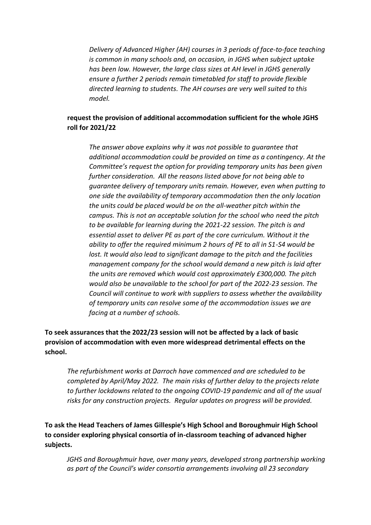*Delivery of Advanced Higher (AH) courses in 3 periods of face-to-face teaching is common in many schools and, on occasion, in JGHS when subject uptake has been low. However, the large class sizes at AH level in JGHS generally ensure a further 2 periods remain timetabled for staff to provide flexible directed learning to students. The AH courses are very well suited to this model.* 

#### **request the provision of additional accommodation sufficient for the whole JGHS roll for 2021/22**

*The answer above explains why it was not possible to guarantee that additional accommodation could be provided on time as a contingency. At the Committee's request the option for providing temporary units has been given further consideration. All the reasons listed above for not being able to guarantee delivery of temporary units remain. However, even when putting to one side the availability of temporary accommodation then the only location the units could be placed would be on the all-weather pitch within the campus. This is not an acceptable solution for the school who need the pitch to be available for learning during the 2021-22 session. The pitch is and essential asset to deliver PE as part of the core curriculum. Without it the ability to offer the required minimum 2 hours of PE to all in S1-S4 would be lost. It would also lead to significant damage to the pitch and the facilities management company for the school would demand a new pitch is laid after the units are removed which would cost approximately £300,000. The pitch would also be unavailable to the school for part of the 2022-23 session. The Council will continue to work with suppliers to assess whether the availability of temporary units can resolve some of the accommodation issues we are facing at a number of schools.*

**To seek assurances that the 2022/23 session will not be affected by a lack of basic provision of accommodation with even more widespread detrimental effects on the school.** 

*The refurbishment works at Darroch have commenced and are scheduled to be completed by April/May 2022. The main risks of further delay to the projects relate to further lockdowns related to the ongoing COVID-19 pandemic and all of the usual risks for any construction projects. Regular updates on progress will be provided.* 

**To ask the Head Teachers of James Gillespie's High School and Boroughmuir High School to consider exploring physical consortia of in-classroom teaching of advanced higher subjects.** 

*JGHS and Boroughmuir have, over many years, developed strong partnership working as part of the Council's wider consortia arrangements involving all 23 secondary*